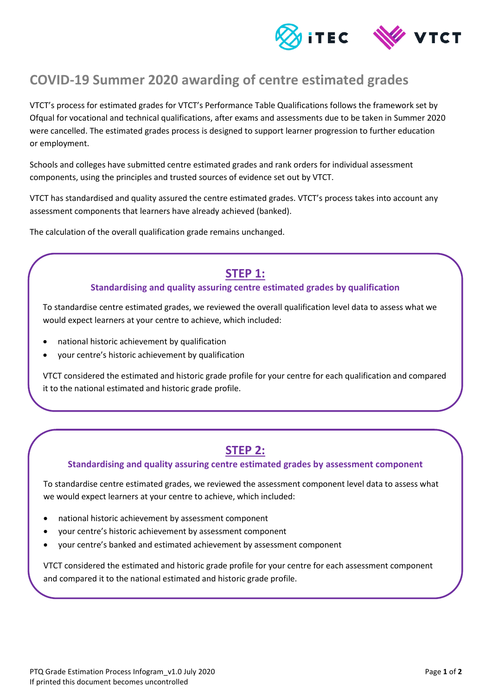

## **COVID-19 Summer 2020 awarding of centre estimated grades**

VTCT's process for estimated grades for VTCT's Performance Table Qualifications follows the framework set by Ofqual for vocational and technical qualifications, after exams and assessments due to be taken in Summer 2020 were cancelled. The estimated grades process is designed to support learner progression to further education or employment.

Schools and colleges have submitted centre estimated grades and rank orders for individual assessment components, using the principles and trusted sources of evidence set out by VTCT.

VTCT has standardised and quality assured the centre estimated grades. VTCT's process takes into account any assessment components that learners have already achieved (banked).

The calculation of the overall qualification grade remains unchanged.

### **STEP 1:**

### **Standardising and quality assuring centre estimated grades by qualification**

To standardise centre estimated grades, we reviewed the overall qualification level data to assess what we would expect learners at your centre to achieve, which included:

- national historic achievement by qualification
- your centre's historic achievement by qualification

VTCT considered the estimated and historic grade profile for your centre for each qualification and compared it to the national estimated and historic grade profile.

## **STEP 2:**

### **Standardising and quality assuring centre estimated grades by assessment component**

To standardise centre estimated grades, we reviewed the assessment component level data to assess what we would expect learners at your centre to achieve, which included:

- national historic achievement by assessment component
- your centre's historic achievement by assessment component
- your centre's banked and estimated achievement by assessment component

VTCT considered the estimated and historic grade profile for your centre for each assessment component and compared it to the national estimated and historic grade profile.